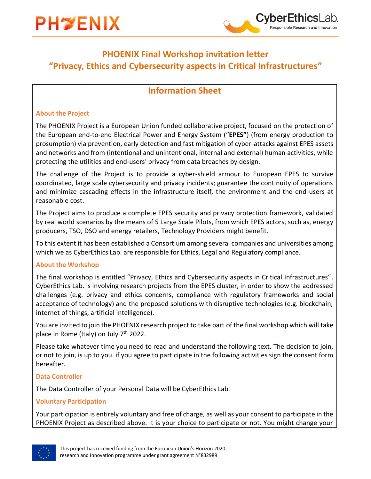

## **PHOENIX Final Workshop invitation letter "Privacy, Ethics and Cybersecurity aspects in Critical Infrastructures"**

**CyberEthicsl** 

Responsible Research and Innovation

### **Information Sheet**

#### **About the Project**

The PHOENIX Project is a European Union funded collaborative project, focused on the protection of the European end-to-end Electrical Power and Energy System ("**EPES"**) (from energy production to prosumption) via prevention, early detection and fast mitigation of cyber-attacks against EPES assets and networks and from (intentional and unintentional, internal and external) human activities, while protecting the utilities and end-users' privacy from data breaches by design.

The challenge of the Project is to provide a cyber-shield armour to European EPES to survive coordinated, large scale cybersecurity and privacy incidents; guarantee the continuity of operations and minimize cascading effects in the infrastructure itself, the environment and the end-users at reasonable cost.

The Project aims to produce a complete EPES security and privacy protection framework, validated by real world scenarios by the means of 5 Large Scale Pilots, from which EPES actors, such as, energy producers, TSO, DSO and energy retailers, Technology Providers might benefit.

To this extent it has been established a Consortium among several companies and universities among which we as CyberEthics Lab. are responsible for Ethics, Legal and Regulatory compliance.

#### **About the Workshop**

The final workshop is entitled "Privacy, Ethics and Cybersecurity aspects in Critical Infrastructures". CyberEthics Lab. is involving research projects from the EPES cluster, in order to show the addressed challenges (e.g. privacy and ethics concerns, compliance with regulatory frameworks and social acceptance of technology) and the proposed solutions with disruptive technologies (e.g. blockchain, internet of things, artificial intelligence).

You are invited to join the PHOENIX research project to take part of the final workshop which will take place in Rome (Italy) on July 7<sup>th</sup> 2022.

Please take whatever time you need to read and understand the following text. The decision to join, or not to join, is up to you. if you agree to participate in the following activities sign the consent form hereafter.

#### **Data Controller**

The Data Controller of your Personal Data will be CyberEthics Lab.

#### **Voluntary Participation**

Your participation is entirely voluntary and free of charge, as well as your consent to participate in the PHOENIX Project as described above. It is your choice to participate or not. You might change your